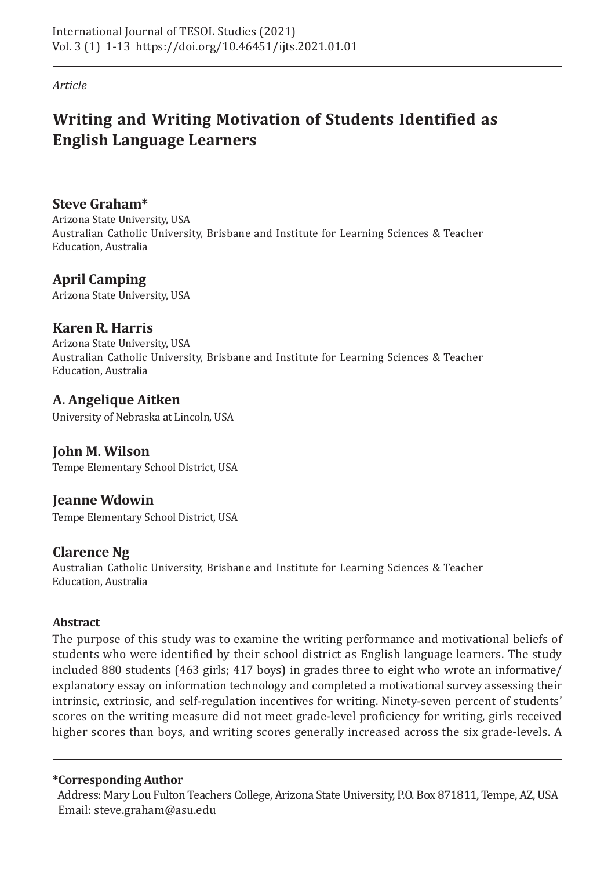*Article*

# **Writing and Writing Motivation of Students Identified as English Language Learners**

**Steve Graham\***

Arizona State University, USA Australian Catholic University, Brisbane and Institute for Learning Sciences & Teacher Education, Australia

# **April Camping**

Arizona State University, USA

# **Karen R. Harris**

Arizona State University, USA Australian Catholic University, Brisbane and Institute for Learning Sciences & Teacher Education, Australia

# **A. Angelique Aitken**

University of Nebraska at Lincoln, USA

# **John M. Wilson**

Tempe Elementary School District, USA

# **Jeanne Wdowin**

Tempe Elementary School District, USA

# **Clarence Ng**

Australian Catholic University, Brisbane and Institute for Learning Sciences & Teacher Education, Australia

## **Abstract**

The purpose of this study was to examine the writing performance and motivational beliefs of students who were identified by their school district as English language learners. The study included 880 students (463 girls; 417 boys) in grades three to eight who wrote an informative/ explanatory essay on information technology and completed a motivational survey assessing their intrinsic, extrinsic, and self-regulation incentives for writing. Ninety-seven percent of students' scores on the writing measure did not meet grade-level proficiency for writing, girls received higher scores than boys, and writing scores generally increased across the six grade-levels. A

### **\*Corresponding Author**

 Address: Mary Lou Fulton Teachers College, Arizona State University, P.O. Box 871811, Tempe, AZ, USA Email: steve.graham@asu.edu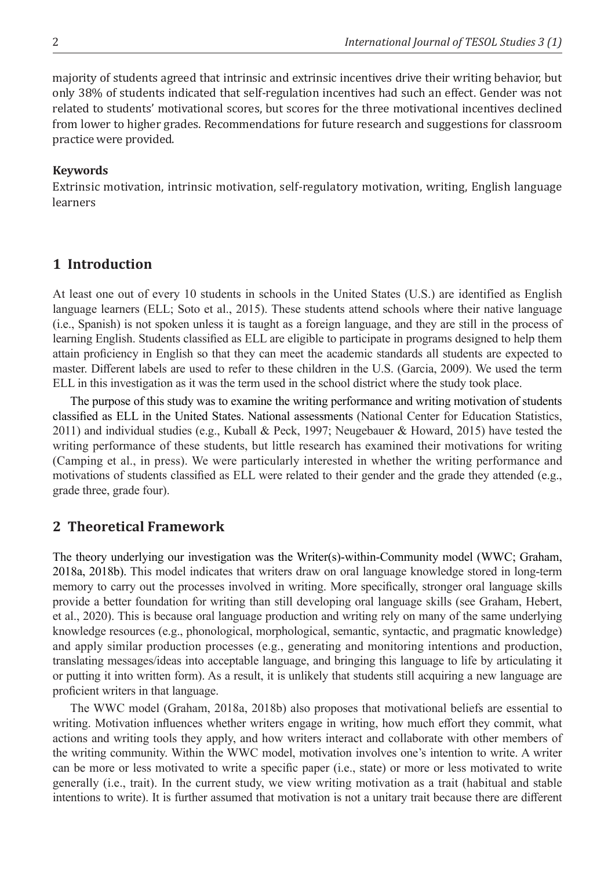majority of students agreed that intrinsic and extrinsic incentives drive their writing behavior, but only 38% of students indicated that self-regulation incentives had such an effect. Gender was not related to students' motivational scores, but scores for the three motivational incentives declined from lower to higher grades. Recommendations for future research and suggestions for classroom practice were provided.

#### **Keywords**

Extrinsic motivation, intrinsic motivation, self-regulatory motivation, writing, English language learners

### **1 Introduction**

At least one out of every 10 students in schools in the United States (U.S.) are identified as English language learners (ELL; Soto et al., 2015). These students attend schools where their native language (i.e., Spanish) is not spoken unless it is taught as a foreign language, and they are still in the process of learning English. Students classified as ELL are eligible to participate in programs designed to help them attain proficiency in English so that they can meet the academic standards all students are expected to master. Different labels are used to refer to these children in the U.S. (Garcia, 2009). We used the term ELL in this investigation as it was the term used in the school district where the study took place.

The purpose of this study was to examine the writing performance and writing motivation of students classified as ELL in the United States. National assessments (National Center for Education Statistics, 2011) and individual studies (e.g., Kuball & Peck, 1997; Neugebauer & Howard, 2015) have tested the writing performance of these students, but little research has examined their motivations for writing (Camping et al., in press). We were particularly interested in whether the writing performance and motivations of students classified as ELL were related to their gender and the grade they attended (e.g., grade three, grade four).

### **2 Theoretical Framework**

The theory underlying our investigation was the Writer(s)-within-Community model (WWC; Graham, 2018a, 2018b). This model indicates that writers draw on oral language knowledge stored in long-term memory to carry out the processes involved in writing. More specifically, stronger oral language skills provide a better foundation for writing than still developing oral language skills (see Graham, Hebert, et al., 2020). This is because oral language production and writing rely on many of the same underlying knowledge resources (e.g., phonological, morphological, semantic, syntactic, and pragmatic knowledge) and apply similar production processes (e.g., generating and monitoring intentions and production, translating messages/ideas into acceptable language, and bringing this language to life by articulating it or putting it into written form). As a result, it is unlikely that students still acquiring a new language are proficient writers in that language.

The WWC model (Graham, 2018a, 2018b) also proposes that motivational beliefs are essential to writing. Motivation influences whether writers engage in writing, how much effort they commit, what actions and writing tools they apply, and how writers interact and collaborate with other members of the writing community. Within the WWC model, motivation involves one's intention to write. A writer can be more or less motivated to write a specific paper (i.e., state) or more or less motivated to write generally (i.e., trait). In the current study, we view writing motivation as a trait (habitual and stable intentions to write). It is further assumed that motivation is not a unitary trait because there are different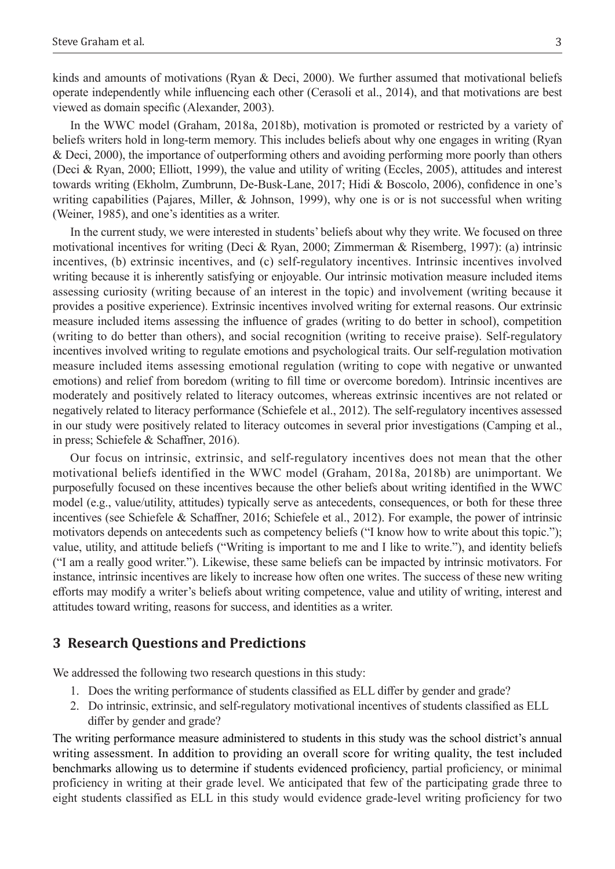kinds and amounts of motivations (Ryan & Deci, 2000). We further assumed that motivational beliefs operate independently while influencing each other (Cerasoli et al., 2014), and that motivations are best viewed as domain specific (Alexander, 2003).

In the WWC model (Graham, 2018a, 2018b), motivation is promoted or restricted by a variety of beliefs writers hold in long-term memory. This includes beliefs about why one engages in writing (Ryan & Deci, 2000), the importance of outperforming others and avoiding performing more poorly than others (Deci & Ryan, 2000; Elliott, 1999), the value and utility of writing (Eccles, 2005), attitudes and interest towards writing (Ekholm, Zumbrunn, De-Busk-Lane, 2017; Hidi & Boscolo, 2006), confidence in one's writing capabilities (Pajares, Miller, & Johnson, 1999), why one is or is not successful when writing (Weiner, 1985), and one's identities as a writer.

In the current study, we were interested in students' beliefs about why they write. We focused on three motivational incentives for writing (Deci & Ryan, 2000; Zimmerman & Risemberg, 1997): (a) intrinsic incentives, (b) extrinsic incentives, and (c) self-regulatory incentives. Intrinsic incentives involved writing because it is inherently satisfying or enjoyable. Our intrinsic motivation measure included items assessing curiosity (writing because of an interest in the topic) and involvement (writing because it provides a positive experience). Extrinsic incentives involved writing for external reasons. Our extrinsic measure included items assessing the influence of grades (writing to do better in school), competition (writing to do better than others), and social recognition (writing to receive praise). Self-regulatory incentives involved writing to regulate emotions and psychological traits. Our self-regulation motivation measure included items assessing emotional regulation (writing to cope with negative or unwanted emotions) and relief from boredom (writing to fill time or overcome boredom). Intrinsic incentives are moderately and positively related to literacy outcomes, whereas extrinsic incentives are not related or negatively related to literacy performance (Schiefele et al., 2012). The self-regulatory incentives assessed in our study were positively related to literacy outcomes in several prior investigations (Camping et al., in press; Schiefele & Schaffner, 2016).

Our focus on intrinsic, extrinsic, and self-regulatory incentives does not mean that the other motivational beliefs identified in the WWC model (Graham, 2018a, 2018b) are unimportant. We purposefully focused on these incentives because the other beliefs about writing identified in the WWC model (e.g., value/utility, attitudes) typically serve as antecedents, consequences, or both for these three incentives (see Schiefele & Schaffner, 2016; Schiefele et al., 2012). For example, the power of intrinsic motivators depends on antecedents such as competency beliefs ("I know how to write about this topic."); value, utility, and attitude beliefs ("Writing is important to me and I like to write."), and identity beliefs ("I am a really good writer."). Likewise, these same beliefs can be impacted by intrinsic motivators. For instance, intrinsic incentives are likely to increase how often one writes. The success of these new writing efforts may modify a writer's beliefs about writing competence, value and utility of writing, interest and attitudes toward writing, reasons for success, and identities as a writer.

#### **3 Research Questions and Predictions**

We addressed the following two research questions in this study:

- 1. Does the writing performance of students classified as ELL differ by gender and grade?
- 2. Do intrinsic, extrinsic, and self-regulatory motivational incentives of students classified as ELL differ by gender and grade?

The writing performance measure administered to students in this study was the school district's annual writing assessment. In addition to providing an overall score for writing quality, the test included benchmarks allowing us to determine if students evidenced proficiency, partial proficiency, or minimal proficiency in writing at their grade level. We anticipated that few of the participating grade three to eight students classified as ELL in this study would evidence grade-level writing proficiency for two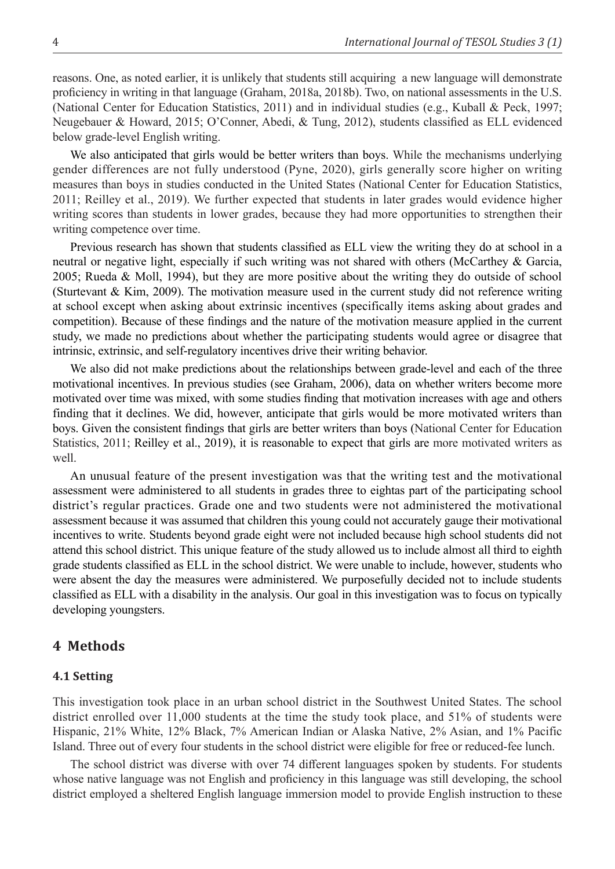reasons. One, as noted earlier, it is unlikely that students still acquiring a new language will demonstrate proficiency in writing in that language (Graham, 2018a, 2018b). Two, on national assessments in the U.S. (National Center for Education Statistics, 2011) and in individual studies (e.g., Kuball & Peck, 1997; Neugebauer & Howard, 2015; O'Conner, Abedi, & Tung, 2012), students classified as ELL evidenced below grade-level English writing.

We also anticipated that girls would be better writers than boys. While the mechanisms underlying gender differences are not fully understood (Pyne, 2020), girls generally score higher on writing measures than boys in studies conducted in the United States (National Center for Education Statistics, 2011; Reilley et al., 2019). We further expected that students in later grades would evidence higher writing scores than students in lower grades, because they had more opportunities to strengthen their writing competence over time.

Previous research has shown that students classified as ELL view the writing they do at school in a neutral or negative light, especially if such writing was not shared with others (McCarthey & Garcia, 2005; Rueda & Moll, 1994), but they are more positive about the writing they do outside of school (Sturtevant & Kim, 2009). The motivation measure used in the current study did not reference writing at school except when asking about extrinsic incentives (specifically items asking about grades and competition). Because of these findings and the nature of the motivation measure applied in the current study, we made no predictions about whether the participating students would agree or disagree that intrinsic, extrinsic, and self-regulatory incentives drive their writing behavior.

We also did not make predictions about the relationships between grade-level and each of the three motivational incentives. In previous studies (see Graham, 2006), data on whether writers become more motivated over time was mixed, with some studies finding that motivation increases with age and others finding that it declines. We did, however, anticipate that girls would be more motivated writers than boys. Given the consistent findings that girls are better writers than boys (National Center for Education Statistics, 2011; Reilley et al., 2019), it is reasonable to expect that girls are more motivated writers as well.

An unusual feature of the present investigation was that the writing test and the motivational assessment were administered to all students in grades three to eightas part of the participating school district's regular practices. Grade one and two students were not administered the motivational assessment because it was assumed that children this young could not accurately gauge their motivational incentives to write. Students beyond grade eight were not included because high school students did not attend this school district. This unique feature of the study allowed us to include almost all third to eighth grade students classified as ELL in the school district. We were unable to include, however, students who were absent the day the measures were administered. We purposefully decided not to include students classified as ELL with a disability in the analysis. Our goal in this investigation was to focus on typically developing youngsters.

#### **4 Methods**

#### **4.1 Setting**

This investigation took place in an urban school district in the Southwest United States. The school district enrolled over 11,000 students at the time the study took place, and 51% of students were Hispanic, 21% White, 12% Black, 7% American Indian or Alaska Native, 2% Asian, and 1% Pacific Island. Three out of every four students in the school district were eligible for free or reduced-fee lunch.

The school district was diverse with over 74 different languages spoken by students. For students whose native language was not English and proficiency in this language was still developing, the school district employed a sheltered English language immersion model to provide English instruction to these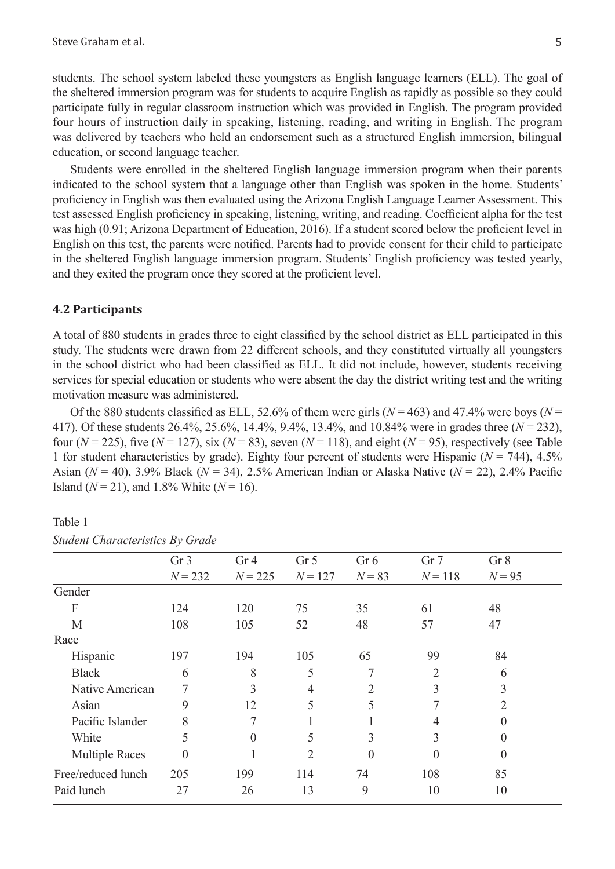students. The school system labeled these youngsters as English language learners (ELL). The goal of the sheltered immersion program was for students to acquire English as rapidly as possible so they could participate fully in regular classroom instruction which was provided in English. The program provided four hours of instruction daily in speaking, listening, reading, and writing in English. The program was delivered by teachers who held an endorsement such as a structured English immersion, bilingual education, or second language teacher.

Students were enrolled in the sheltered English language immersion program when their parents indicated to the school system that a language other than English was spoken in the home. Students' proficiency in English was then evaluated using the Arizona English Language Learner Assessment. This test assessed English proficiency in speaking, listening, writing, and reading. Coefficient alpha for the test was high (0.91; Arizona Department of Education, 2016). If a student scored below the proficient level in English on this test, the parents were notified. Parents had to provide consent for their child to participate in the sheltered English language immersion program. Students' English proficiency was tested yearly, and they exited the program once they scored at the proficient level.

#### **4.2 Participants**

A total of 880 students in grades three to eight classified by the school district as ELL participated in this study. The students were drawn from 22 different schools, and they constituted virtually all youngsters in the school district who had been classified as ELL. It did not include, however, students receiving services for special education or students who were absent the day the district writing test and the writing motivation measure was administered.

Of the 880 students classified as ELL, 52.6% of them were girls ( $N = 463$ ) and 47.4% were boys ( $N =$ 417). Of these students 26.4%, 25.6%, 14.4%, 9.4%, 13.4%, and 10.84% were in grades three (*N* = 232), four  $(N = 225)$ , five  $(N = 127)$ , six  $(N = 83)$ , seven  $(N = 118)$ , and eight  $(N = 95)$ , respectively (see Table 1 for student characteristics by grade). Eighty four percent of students were Hispanic ( $N = 744$ ), 4.5% Asian (*N* = 40), 3.9% Black (*N* = 34), 2.5% American Indian or Alaska Native (*N* = 22), 2.4% Pacific Island ( $N = 21$ ), and 1.8% White ( $N = 16$ ).

|                       | Gr <sub>3</sub> | Gr <sub>4</sub> | Gr <sub>5</sub> | Gr 6     | Gr <sub>7</sub> | Gr 8     |
|-----------------------|-----------------|-----------------|-----------------|----------|-----------------|----------|
|                       | $N = 232$       | $N = 225$       | $N = 127$       | $N = 83$ | $N = 118$       | $N = 95$ |
| Gender                |                 |                 |                 |          |                 |          |
| F                     | 124             | 120             | 75              | 35       | 61              | 48       |
| M                     | 108             | 105             | 52              | 48       | 57              | 47       |
| Race                  |                 |                 |                 |          |                 |          |
| Hispanic              | 197             | 194             | 105             | 65       | 99              | 84       |
| <b>Black</b>          | 6               | 8               | 5               | 7        | 2               | 6        |
| Native American       |                 | 3               | 4               | 2        | 3               | 3        |
| Asian                 | 9               | 12              | 5               | 5        | 7               | 2        |
| Pacific Islander      | 8               | 7               |                 |          | 4               | 0        |
| White                 | 5               | $\theta$        | 5               | 3        | 3               | 0        |
| <b>Multiple Races</b> | $\Omega$        |                 | $\overline{2}$  | $\Omega$ | 0               | 0        |
| Free/reduced lunch    | 205             | 199             | 114             | 74       | 108             | 85       |
| Paid lunch            | 27              | 26              | 13              | 9        | 10              | 10       |
|                       |                 |                 |                 |          |                 |          |

Table 1 *Student Characteristics By Grade*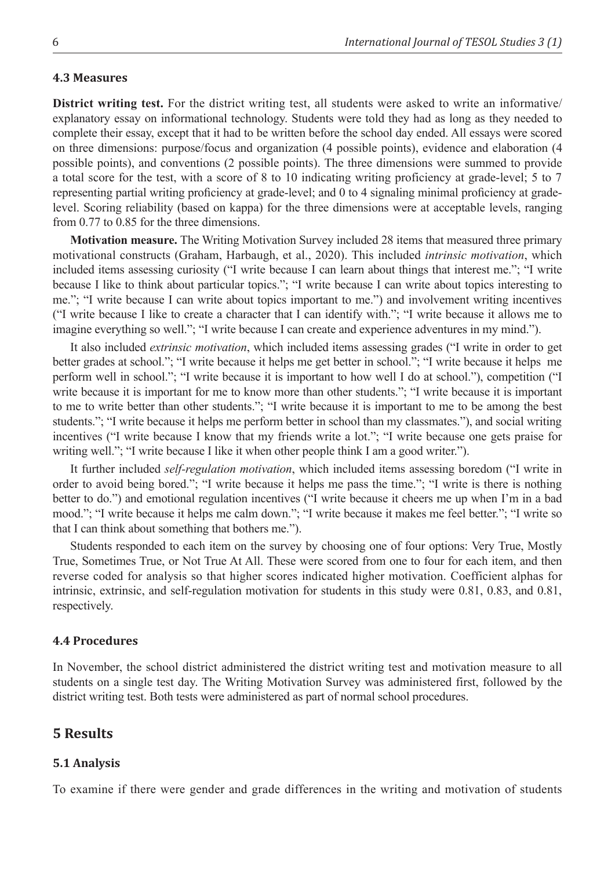#### **4.3 Measures**

**District writing test.** For the district writing test, all students were asked to write an informative/ explanatory essay on informational technology. Students were told they had as long as they needed to complete their essay, except that it had to be written before the school day ended. All essays were scored on three dimensions: purpose/focus and organization (4 possible points), evidence and elaboration (4 possible points), and conventions (2 possible points). The three dimensions were summed to provide a total score for the test, with a score of 8 to 10 indicating writing proficiency at grade-level; 5 to 7 representing partial writing proficiency at grade-level; and 0 to 4 signaling minimal proficiency at gradelevel. Scoring reliability (based on kappa) for the three dimensions were at acceptable levels, ranging from 0.77 to 0.85 for the three dimensions.

**Motivation measure.** The Writing Motivation Survey included 28 items that measured three primary motivational constructs (Graham, Harbaugh, et al., 2020). This included *intrinsic motivation*, which included items assessing curiosity ("I write because I can learn about things that interest me."; "I write because I like to think about particular topics."; "I write because I can write about topics interesting to me."; "I write because I can write about topics important to me.") and involvement writing incentives ("I write because I like to create a character that I can identify with."; "I write because it allows me to imagine everything so well."; "I write because I can create and experience adventures in my mind.").

It also included *extrinsic motivation*, which included items assessing grades ("I write in order to get better grades at school."; "I write because it helps me get better in school."; "I write because it helps me perform well in school."; "I write because it is important to how well I do at school."), competition ("I write because it is important for me to know more than other students."; "I write because it is important to me to write better than other students."; "I write because it is important to me to be among the best students."; "I write because it helps me perform better in school than my classmates."), and social writing incentives ("I write because I know that my friends write a lot."; "I write because one gets praise for writing well."; "I write because I like it when other people think I am a good writer.").

It further included *self-regulation motivation*, which included items assessing boredom ("I write in order to avoid being bored."; "I write because it helps me pass the time."; "I write is there is nothing better to do.") and emotional regulation incentives ("I write because it cheers me up when I'm in a bad mood."; "I write because it helps me calm down."; "I write because it makes me feel better."; "I write so that I can think about something that bothers me.").

Students responded to each item on the survey by choosing one of four options: Very True, Mostly True, Sometimes True, or Not True At All. These were scored from one to four for each item, and then reverse coded for analysis so that higher scores indicated higher motivation. Coefficient alphas for intrinsic, extrinsic, and self-regulation motivation for students in this study were 0.81, 0.83, and 0.81, respectively.

#### **4.4 Procedures**

In November, the school district administered the district writing test and motivation measure to all students on a single test day. The Writing Motivation Survey was administered first, followed by the district writing test. Both tests were administered as part of normal school procedures.

### **5 Results**

#### **5.1 Analysis**

To examine if there were gender and grade differences in the writing and motivation of students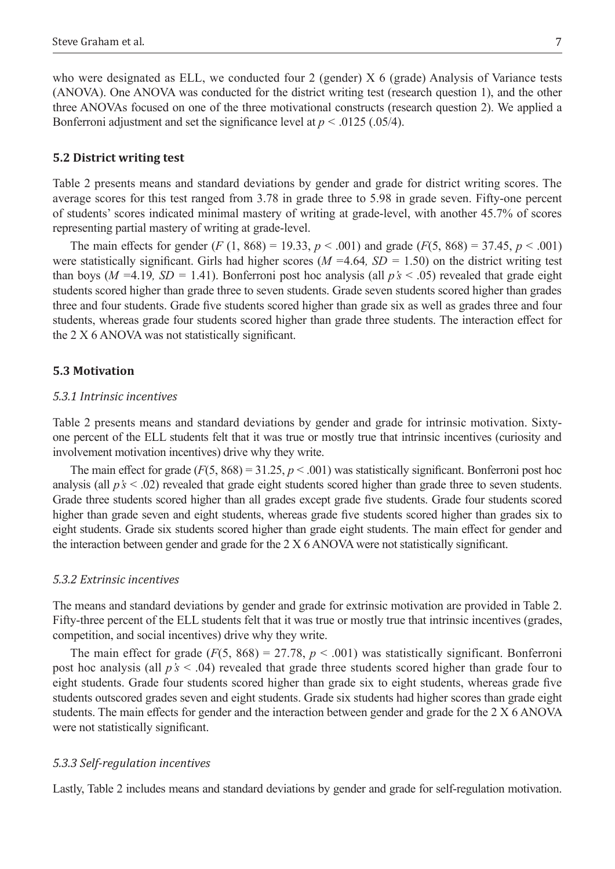who were designated as ELL, we conducted four 2 (gender) X 6 (grade) Analysis of Variance tests (ANOVA). One ANOVA was conducted for the district writing test (research question 1), and the other three ANOVAs focused on one of the three motivational constructs (research question 2). We applied a Bonferroni adjustment and set the significance level at  $p < .0125$  (.05/4).

#### **5.2 District writing test**

Table 2 presents means and standard deviations by gender and grade for district writing scores. The average scores for this test ranged from 3.78 in grade three to 5.98 in grade seven. Fifty-one percent of students' scores indicated minimal mastery of writing at grade-level, with another 45.7% of scores representing partial mastery of writing at grade-level.

The main effects for gender  $(F (1, 868) = 19.33, p < .001)$  and grade  $(F(5, 868) = 37.45, p < .001)$ were statistically significant. Girls had higher scores (*M =*4.64*, SD =* 1.50) on the district writing test than boys ( $M = 4.19$ ,  $SD = 1.41$ ). Bonferroni post hoc analysis (all  $p's < .05$ ) revealed that grade eight students scored higher than grade three to seven students. Grade seven students scored higher than grades three and four students. Grade five students scored higher than grade six as well as grades three and four students, whereas grade four students scored higher than grade three students. The interaction effect for the 2 X 6 ANOVA was not statistically significant.

#### **5.3 Motivation**

#### *5.3.1 Intrinsic incentives*

Table 2 presents means and standard deviations by gender and grade for intrinsic motivation. Sixtyone percent of the ELL students felt that it was true or mostly true that intrinsic incentives (curiosity and involvement motivation incentives) drive why they write.

The main effect for grade  $(F(5, 868) = 31.25, p < .001)$  was statistically significant. Bonferroni post hoc analysis (all *p's* < .02) revealed that grade eight students scored higher than grade three to seven students. Grade three students scored higher than all grades except grade five students. Grade four students scored higher than grade seven and eight students, whereas grade five students scored higher than grades six to eight students. Grade six students scored higher than grade eight students. The main effect for gender and the interaction between gender and grade for the 2 X 6 ANOVA were not statistically significant.

#### *5.3.2 Extrinsic incentives*

The means and standard deviations by gender and grade for extrinsic motivation are provided in Table 2. Fifty-three percent of the ELL students felt that it was true or mostly true that intrinsic incentives (grades, competition, and social incentives) drive why they write.

The main effect for grade  $(F(5, 868) = 27.78, p < .001)$  was statistically significant. Bonferroni post hoc analysis (all *p's* < .04) revealed that grade three students scored higher than grade four to eight students. Grade four students scored higher than grade six to eight students, whereas grade five students outscored grades seven and eight students. Grade six students had higher scores than grade eight students. The main effects for gender and the interaction between gender and grade for the 2 X 6 ANOVA were not statistically significant.

#### *5.3.3 Self-regulation incentives*

Lastly, Table 2 includes means and standard deviations by gender and grade for self-regulation motivation.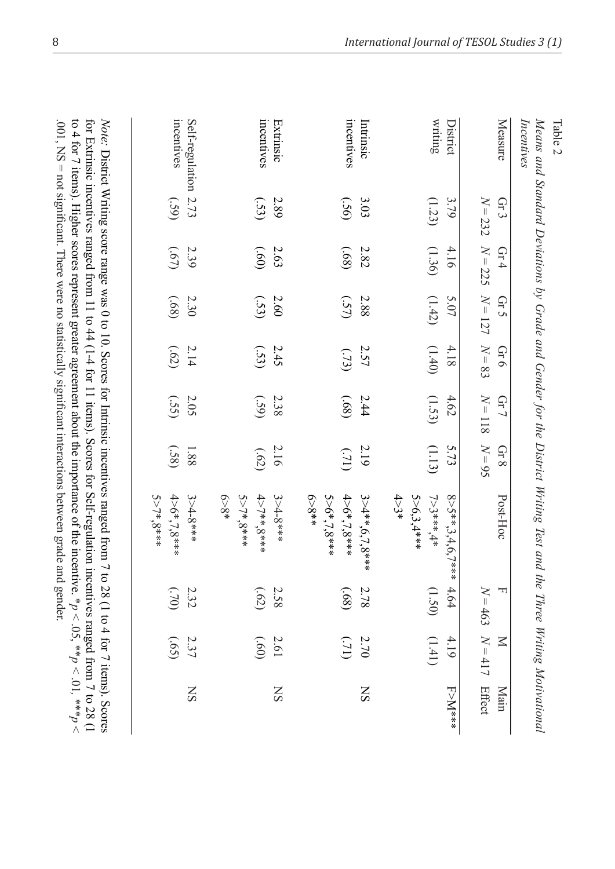| Measure              | $N = 232$<br>Gr 3 | $\operatorname{Gr} 4$ | $N = 225$ $N = 127$<br>Gr 5 | $N = 83$<br>Gr 6 | $N = 118$<br>$Gr$ $\overline{7}$ | $N = 95$<br>$\operatorname{Gr}8$ | Post-Hoc                                   | $N = 463$<br>ᆔ | $N = 417$<br>$\overline{\mathsf{N}}$ | Effect<br>Main |
|----------------------|-------------------|-----------------------|-----------------------------|------------------|----------------------------------|----------------------------------|--------------------------------------------|----------------|--------------------------------------|----------------|
| District             | 3.79              | 4.16                  | 5.07                        | 4.18             | 4.62                             | 5.73                             | 8>5**,3,4,6,7***                           | 4.64           | 4.19                                 | F>M***         |
| writing              | (1.23)            | (1.36)                | (1.42)                      | (1.40)           | (1.53)                           | (1.13)                           | $4 > 3*$<br>5>6,3,4***<br>$7 > 3$ *** $4*$ | (1.50)         | (1,41)                               |                |
| Intrinsic            | 3.03              | 2.82                  | 2.88                        | 2.57             | 2.44                             | 2.19                             | $3 > 4**$ , $6,7,8***$                     | 2.78           | $2.70\,$                             | SN             |
| mcentives            | (36)              | (89)                  | (57)                        | (32)             | (89)                             | (12)                             | $*859$<br>5>6*,7,8***<br>$4>6$ *,7,8***    | (68)           | (12)                                 |                |
| Extrinsic            | 2.89              | 2.63                  | 2.60                        | 2.45             | 2.38                             | 2.16                             | $3 > 4 - 8$ ***                            | 2.58           | 2.61                                 | SN             |
| incentives           | (53)              | (09)                  | (S3)                        | (S3)             | (S <sub>3</sub> )                | (52)                             | 5>7*8***<br>4>7**,8***<br>$6 - 8^*$        | $(52)$         | (09)                                 |                |
| Self-regulation 2.73 |                   | 2.39                  | 2.30                        | 2.14             | 2.05                             | 1.88                             | $3 > 4 - 8$ ***                            | 2.32           | 2.37                                 | SN             |
| incentives           | (S9)              | (29)                  | (89)                        | (52)             | (SS)                             | (58)                             | $4>6*7.8***$<br>5>7*8***                   | $(0L)$         | (59)                                 |                |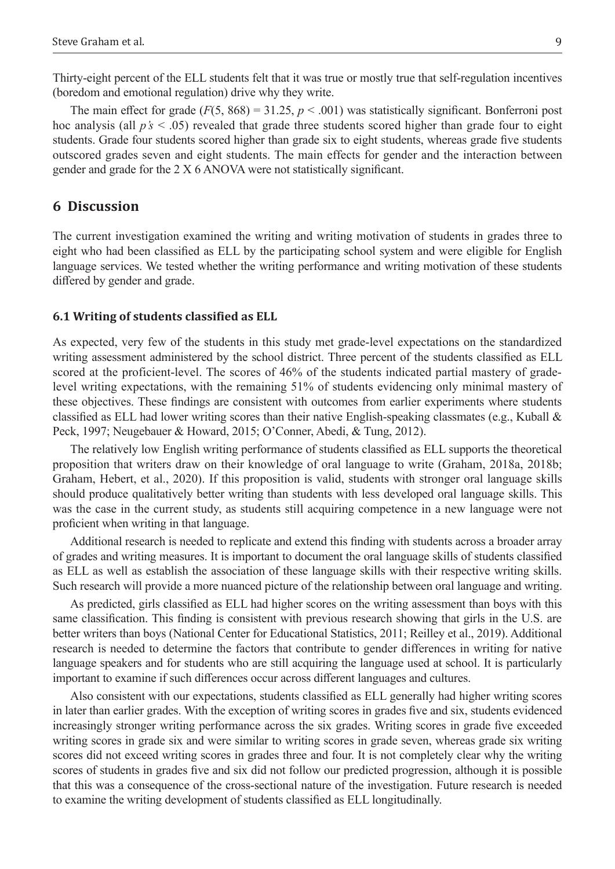Thirty-eight percent of the ELL students felt that it was true or mostly true that self-regulation incentives (boredom and emotional regulation) drive why they write.

The main effect for grade  $(F(5, 868) = 31.25, p < .001)$  was statistically significant. Bonferroni post hoc analysis (all *p's* < .05) revealed that grade three students scored higher than grade four to eight students. Grade four students scored higher than grade six to eight students, whereas grade five students outscored grades seven and eight students. The main effects for gender and the interaction between gender and grade for the 2 X 6 ANOVA were not statistically significant.

#### **6 Discussion**

The current investigation examined the writing and writing motivation of students in grades three to eight who had been classified as ELL by the participating school system and were eligible for English language services. We tested whether the writing performance and writing motivation of these students differed by gender and grade.

#### **6.1 Writing of students classified as ELL**

As expected, very few of the students in this study met grade-level expectations on the standardized writing assessment administered by the school district. Three percent of the students classified as ELL scored at the proficient-level. The scores of 46% of the students indicated partial mastery of gradelevel writing expectations, with the remaining 51% of students evidencing only minimal mastery of these objectives. These findings are consistent with outcomes from earlier experiments where students classified as ELL had lower writing scores than their native English-speaking classmates (e.g., Kuball  $\&$ Peck, 1997; Neugebauer & Howard, 2015; O'Conner, Abedi, & Tung, 2012).

The relatively low English writing performance of students classified as ELL supports the theoretical proposition that writers draw on their knowledge of oral language to write (Graham, 2018a, 2018b; Graham, Hebert, et al., 2020). If this proposition is valid, students with stronger oral language skills should produce qualitatively better writing than students with less developed oral language skills. This was the case in the current study, as students still acquiring competence in a new language were not proficient when writing in that language.

Additional research is needed to replicate and extend this finding with students across a broader array of grades and writing measures. It is important to document the oral language skills of students classified as ELL as well as establish the association of these language skills with their respective writing skills. Such research will provide a more nuanced picture of the relationship between oral language and writing.

As predicted, girls classified as ELL had higher scores on the writing assessment than boys with this same classification. This finding is consistent with previous research showing that girls in the U.S. are better writers than boys (National Center for Educational Statistics, 2011; Reilley et al., 2019). Additional research is needed to determine the factors that contribute to gender differences in writing for native language speakers and for students who are still acquiring the language used at school. It is particularly important to examine if such differences occur across different languages and cultures.

Also consistent with our expectations, students classified as ELL generally had higher writing scores in later than earlier grades. With the exception of writing scores in grades five and six, students evidenced increasingly stronger writing performance across the six grades. Writing scores in grade five exceeded writing scores in grade six and were similar to writing scores in grade seven, whereas grade six writing scores did not exceed writing scores in grades three and four. It is not completely clear why the writing scores of students in grades five and six did not follow our predicted progression, although it is possible that this was a consequence of the cross-sectional nature of the investigation. Future research is needed to examine the writing development of students classified as ELL longitudinally.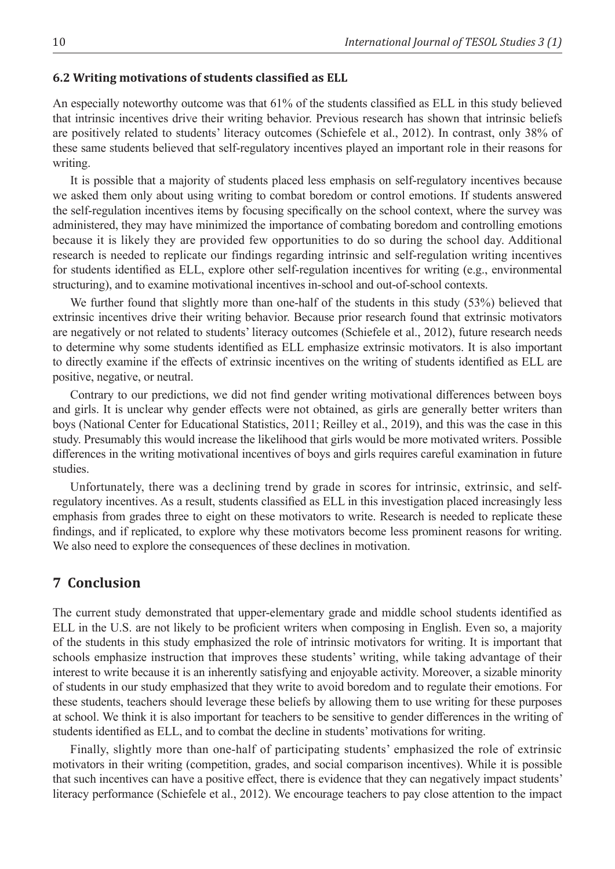#### **6.2 Writing motivations of students classified as ELL**

An especially noteworthy outcome was that 61% of the students classified as ELL in this study believed that intrinsic incentives drive their writing behavior. Previous research has shown that intrinsic beliefs are positively related to students' literacy outcomes (Schiefele et al., 2012). In contrast, only 38% of these same students believed that self-regulatory incentives played an important role in their reasons for writing.

It is possible that a majority of students placed less emphasis on self-regulatory incentives because we asked them only about using writing to combat boredom or control emotions. If students answered the self-regulation incentives items by focusing specifically on the school context, where the survey was administered, they may have minimized the importance of combating boredom and controlling emotions because it is likely they are provided few opportunities to do so during the school day. Additional research is needed to replicate our findings regarding intrinsic and self-regulation writing incentives for students identified as ELL, explore other self-regulation incentives for writing (e.g., environmental structuring), and to examine motivational incentives in-school and out-of-school contexts.

We further found that slightly more than one-half of the students in this study (53%) believed that extrinsic incentives drive their writing behavior. Because prior research found that extrinsic motivators are negatively or not related to students' literacy outcomes (Schiefele et al., 2012), future research needs to determine why some students identified as ELL emphasize extrinsic motivators. It is also important to directly examine if the effects of extrinsic incentives on the writing of students identified as ELL are positive, negative, or neutral.

Contrary to our predictions, we did not find gender writing motivational differences between boys and girls. It is unclear why gender effects were not obtained, as girls are generally better writers than boys (National Center for Educational Statistics, 2011; Reilley et al., 2019), and this was the case in this study. Presumably this would increase the likelihood that girls would be more motivated writers. Possible differences in the writing motivational incentives of boys and girls requires careful examination in future studies.

Unfortunately, there was a declining trend by grade in scores for intrinsic, extrinsic, and selfregulatory incentives. As a result, students classified as ELL in this investigation placed increasingly less emphasis from grades three to eight on these motivators to write. Research is needed to replicate these findings, and if replicated, to explore why these motivators become less prominent reasons for writing. We also need to explore the consequences of these declines in motivation.

## **7 Conclusion**

The current study demonstrated that upper-elementary grade and middle school students identified as ELL in the U.S. are not likely to be proficient writers when composing in English. Even so, a majority of the students in this study emphasized the role of intrinsic motivators for writing. It is important that schools emphasize instruction that improves these students' writing, while taking advantage of their interest to write because it is an inherently satisfying and enjoyable activity. Moreover, a sizable minority of students in our study emphasized that they write to avoid boredom and to regulate their emotions. For these students, teachers should leverage these beliefs by allowing them to use writing for these purposes at school. We think it is also important for teachers to be sensitive to gender differences in the writing of students identified as ELL, and to combat the decline in students' motivations for writing.

Finally, slightly more than one-half of participating students' emphasized the role of extrinsic motivators in their writing (competition, grades, and social comparison incentives). While it is possible that such incentives can have a positive effect, there is evidence that they can negatively impact students' literacy performance (Schiefele et al., 2012). We encourage teachers to pay close attention to the impact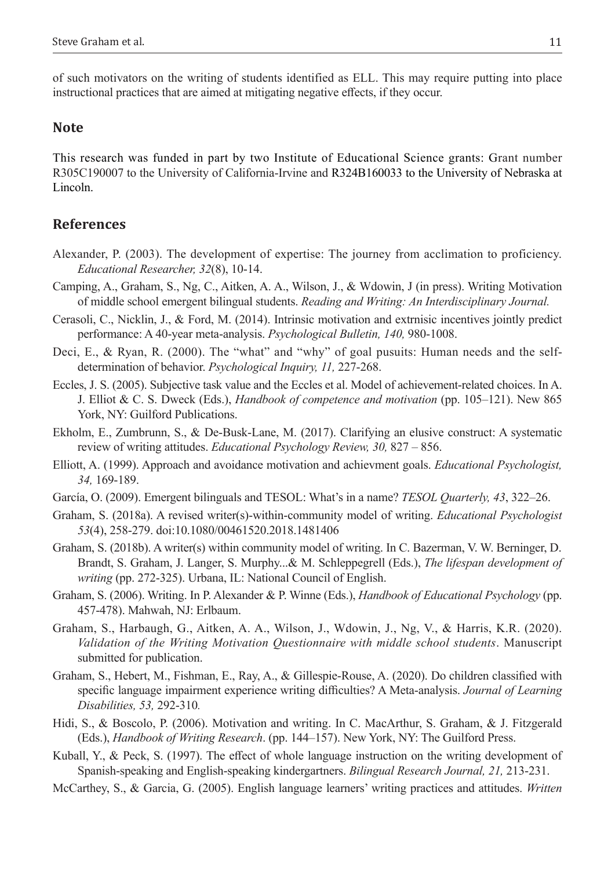of such motivators on the writing of students identified as ELL. This may require putting into place instructional practices that are aimed at mitigating negative effects, if they occur.

#### **Note**

This research was funded in part by two Institute of Educational Science grants: Grant number R305C190007 to the University of California-Irvine and R324B160033 to the University of Nebraska at Lincoln.

### **References**

- Alexander, P. (2003). The development of expertise: The journey from acclimation to proficiency. *Educational Researcher, 32*(8), 10-14.
- Camping, A., Graham, S., Ng, C., Aitken, A. A., Wilson, J., & Wdowin, J (in press). Writing Motivation of middle school emergent bilingual students. *Reading and Writing: An Interdisciplinary Journal.*
- Cerasoli, C., Nicklin, J., & Ford, M. (2014). Intrinsic motivation and extrnisic incentives jointly predict performance: A 40-year meta-analysis. *Psychological Bulletin, 140,* 980-1008.
- Deci, E., & Ryan, R. (2000). The "what" and "why" of goal pusuits: Human needs and the selfdetermination of behavior. *Psychological Inquiry, 11,* 227-268.
- Eccles, J. S. (2005). Subjective task value and the Eccles et al. Model of achievement-related choices. In A. J. Elliot & C. S. Dweck (Eds.), *Handbook of competence and motivation* (pp. 105–121). New 865 York, NY: Guilford Publications.
- Ekholm, E., Zumbrunn, S., & De-Busk-Lane, M. (2017). Clarifying an elusive construct: A systematic review of writing attitudes. *Educational Psychology Review, 30,* 827 – 856.
- Elliott, A. (1999). Approach and avoidance motivation and achievment goals. *Educational Psychologist, 34,* 169-189.
- García, O. (2009). Emergent bilinguals and TESOL: What's in a name? *TESOL Quarterly, 43*, 322–26.
- Graham, S. (2018a). A revised writer(s)-within-community model of writing. *Educational Psychologist 53*(4), 258-279. doi:10.1080/00461520.2018.1481406
- Graham, S. (2018b). A writer(s) within community model of writing. In C. Bazerman, V. W. Berninger, D. Brandt, S. Graham, J. Langer, S. Murphy...& M. Schleppegrell (Eds.), *The lifespan development of writing* (pp. 272-325). Urbana, IL: National Council of English.
- Graham, S. (2006). Writing. In P. Alexander & P. Winne (Eds.), *Handbook of Educational Psychology* (pp. 457-478). Mahwah, NJ: Erlbaum.
- Graham, S., Harbaugh, G., Aitken, A. A., Wilson, J., Wdowin, J., Ng, V., & Harris, K.R. (2020). *Validation of the Writing Motivation Questionnaire with middle school students*. Manuscript submitted for publication.
- Graham, S., Hebert, M., Fishman, E., Ray, A., & Gillespie-Rouse, A. (2020). Do children classified with specific language impairment experience writing difficulties? A Meta-analysis. *Journal of Learning Disabilities, 53,* 292-310*.*
- Hidi, S., & Boscolo, P. (2006). Motivation and writing. In C. MacArthur, S. Graham, & J. Fitzgerald (Eds.), *Handbook of Writing Research*. (pp. 144–157). New York, NY: The Guilford Press.
- Kuball, Y., & Peck, S. (1997). The effect of whole language instruction on the writing development of Spanish-speaking and English-speaking kindergartners. *Bilingual Research Journal, 21,* 213-231.
- McCarthey, S., & Garcia, G. (2005). English language learners' writing practices and attitudes. *Written*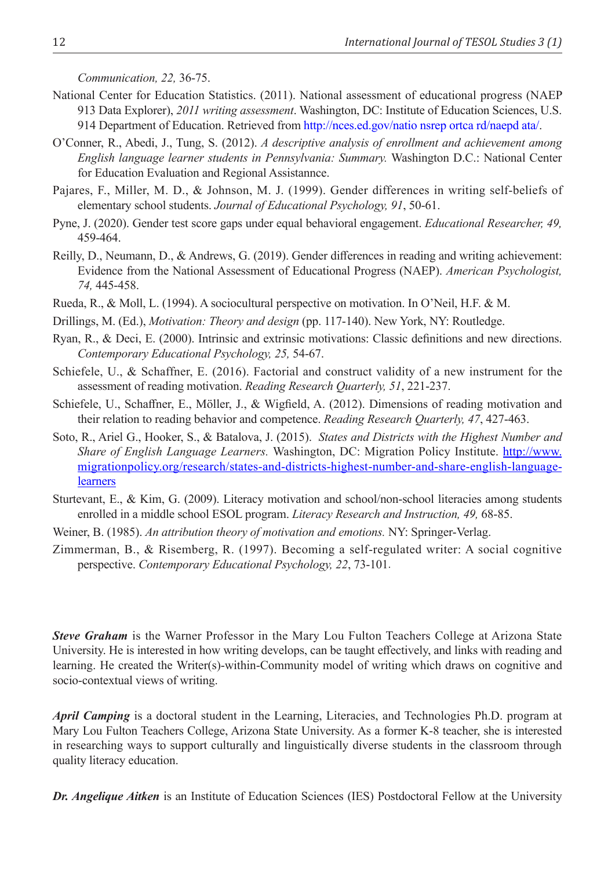*Communication, 22,* 36-75.

- National Center for Education Statistics. (2011). National assessment of educational progress (NAEP 913 Data Explorer), *2011 writing assessment*. Washington, DC: Institute of Education Sciences, U.S. 914 Department of Education. Retrieved from http://nces.ed.gov/natio nsrep ortca rd/naepd ata/.
- O'Conner, R., Abedi, J., Tung, S. (2012). *A descriptive analysis of enrollment and achievement among English language learner students in Pennsylvania: Summary.* Washington D.C.: National Center for Education Evaluation and Regional Assistannce.
- Pajares, F., Miller, M. D., & Johnson, M. J. (1999). Gender differences in writing self-beliefs of elementary school students. *Journal of Educational Psychology, 91*, 50-61.
- Pyne, J. (2020). Gender test score gaps under equal behavioral engagement. *Educational Researcher, 49,*  459-464.
- Reilly, D., Neumann, D., & Andrews, G. (2019). Gender differences in reading and writing achievement: Evidence from the National Assessment of Educational Progress (NAEP). *American Psychologist, 74,* 445-458.
- Rueda, R., & Moll, L. (1994). A sociocultural perspective on motivation. In O'Neil, H.F. & M.
- Drillings, M. (Ed.), *Motivation: Theory and design* (pp. 117-140). New York, NY: Routledge.
- Ryan, R., & Deci, E. (2000). Intrinsic and extrinsic motivations: Classic definitions and new directions. *Contemporary Educational Psychology, 25,* 54-67.
- Schiefele, U., & Schaffner, E. (2016). Factorial and construct validity of a new instrument for the assessment of reading motivation. *Reading Research Quarterly, 51*, 221-237.
- Schiefele, U., Schaffner, E., Möller, J., & Wigfield, A. (2012). Dimensions of reading motivation and their relation to reading behavior and competence. *Reading Research Quarterly, 47*, 427-463.
- Soto, R., Ariel G., Hooker, S., & Batalova, J. (2015). *States and Districts with the Highest Number and Share of English Language Learners.* Washington, DC: Migration Policy Institute. *http://www.* migrationpolicy.org/research/states-and-districts-highest-number-and-share-english-languagelearners
- Sturtevant, E., & Kim, G. (2009). Literacy motivation and school/non-school literacies among students enrolled in a middle school ESOL program. *Literacy Research and Instruction, 49,* 68-85.
- Weiner, B. (1985). *An attribution theory of motivation and emotions.* NY: Springer-Verlag.
- Zimmerman, B., & Risemberg, R. (1997). Becoming a self-regulated writer: A social cognitive perspective. *Contemporary Educational Psychology, 22*, 73-101.

*Steve Graham* is the Warner Professor in the Mary Lou Fulton Teachers College at Arizona State University. He is interested in how writing develops, can be taught effectively, and links with reading and learning. He created the Writer(s)-within-Community model of writing which draws on cognitive and socio-contextual views of writing.

*April Camping* is a doctoral student in the Learning, Literacies, and Technologies Ph.D. program at Mary Lou Fulton Teachers College, Arizona State University. As a former K-8 teacher, she is interested in researching ways to support culturally and linguistically diverse students in the classroom through quality literacy education.

**Dr. Angelique Aitken** is an Institute of Education Sciences (IES) Postdoctoral Fellow at the University